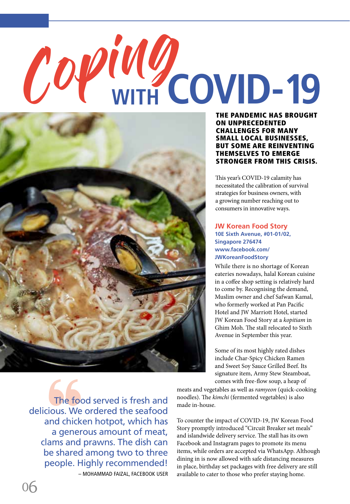## Coping **WITH COVID-19**



THE PANDEMIC HAS BROUGHT ON UNPRECEDENTED CHALLENGES FOR MANY SMALL LOCAL BUSINESSES, BUT SOME ARE REINVENTING THEMSELVES TO EMERGE STRONGER FROM THIS CRISIS.

This year's COVID-19 calamity has necessitated the calibration of survival strategies for business owners, with a growing number reaching out to consumers in innovative ways.

## **JW Korean Food Story 10E Sixth Avenue, #01-01/02, Singapore 276474 www.facebook.com/ JWKoreanFoodStory**

While there is no shortage of Korean eateries nowadays, halal Korean cuisine in a coffee shop setting is relatively hard to come by. Recognising the demand, Muslim owner and chef Safwan Kamal, who formerly worked at Pan Pacific Hotel and JW Marriott Hotel, started JW Korean Food Story at a *kopitiam* in Ghim Moh. The stall relocated to Sixth Avenue in September this year.

Some of its most highly rated dishes include Char-Spicy Chicken Ramen and Sweet Soy Sauce Grilled Beef. Its signature item, Army Stew Steamboat, comes with free-flow soup, a heap of

The food served is fresh and delicious. We ordered the seafood and chicken hotpot, which has a generous amount of meat, clams and prawns. The dish can be shared among two to three people. Highly recommended! – MOHAMMAD FAIZAL, FACEBOOK USER meats and vegetables as well as *ramyeon* (quick-cooking noodles). The *kimchi* (fermented vegetables) is also made in-house.

To counter the impact of COVID-19, JW Korean Food Story promptly introduced "Circuit Breaker set meals" and islandwide delivery service. The stall has its own Facebook and Instagram pages to promote its menu items, while orders are accepted via WhatsApp. Although dining in is now allowed with safe distancing measures in place, birthday set packages with free delivery are still available to cater to those who prefer staying home.